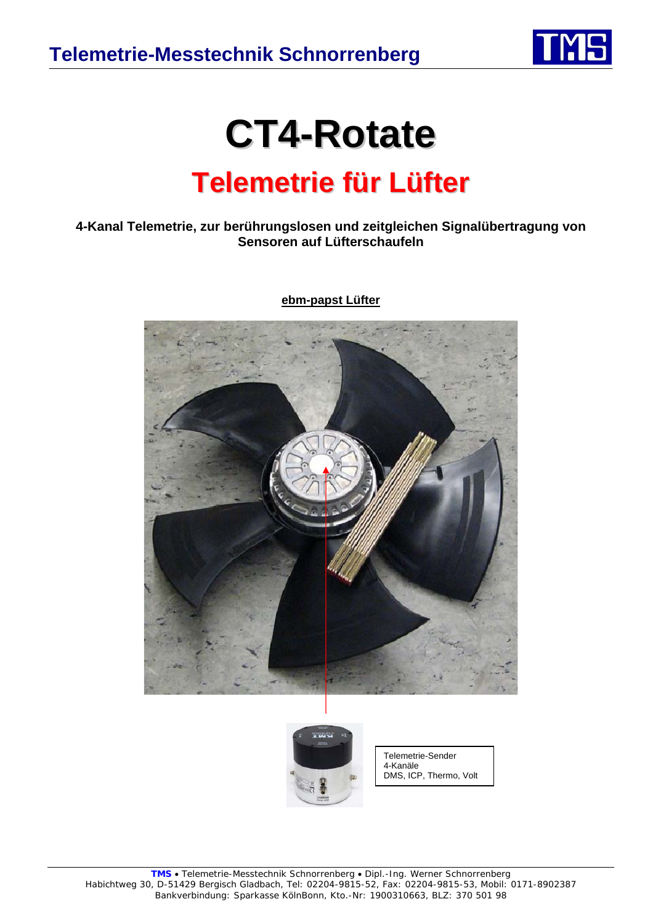

# **CT4-Rotate**

# **Telemetrie für Lüfter**

#### **4-Kanal Telemetrie, zur berührungslosen und zeitgleichen Signalübertragung von Sensoren auf Lüfterschaufeln**

**ebm-papst Lüfter**





Telemetrie-Sender 4-Kanäle DMS, ICP, Thermo, Volt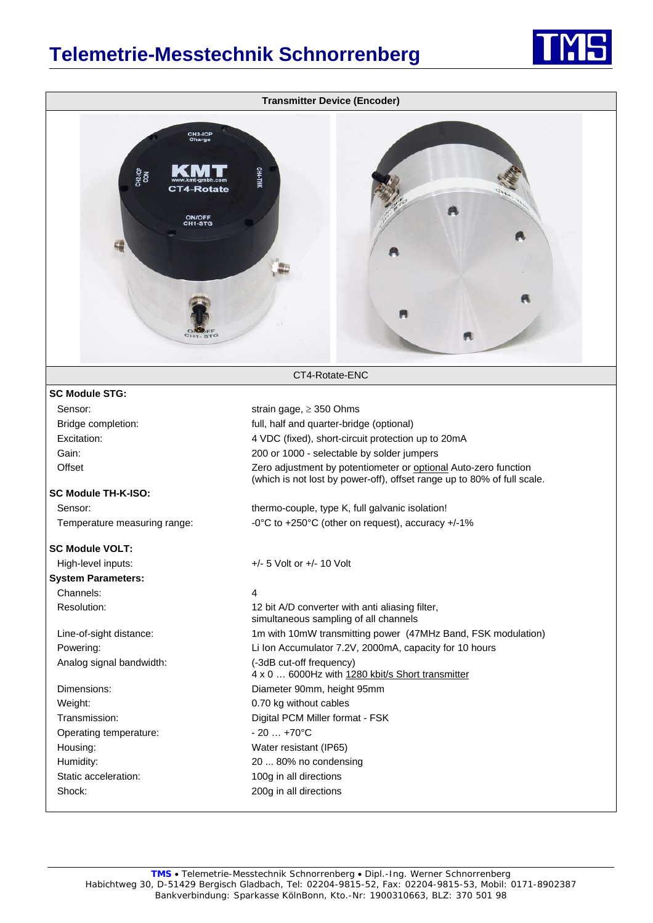



| Sensor:            |  |
|--------------------|--|
| Bridge completion: |  |
| Excitation:        |  |
| Gain:              |  |
| Offset             |  |

#### **SC Module TH-K-ISO:**

#### **SC Module VOLT:**

**System Parameters:** Channels: 4

Weight:  $0.70 \text{ kg}$  without cables Operating temperature:  $-20 ... +70°C$  Housing: Water resistant (IP65) Static acceleration: 100g in all directions

full, half and quarter-bridge (optional) 4 VDC (fixed), short-circuit protection up to 20mA 200 or 1000 - selectable by solder jumpers Zero adjustment by potentiometer or optional Auto-zero function (which is not lost by power-off), offset range up to 80% of full scale.

Sensor: **thermo-couple, type K, full galvanic isolation!** Temperature measuring range:  $-0^{\circ}$ C to +250°C (other on request), accuracy +/-1%

High-level inputs:  $+/-5$  Volt or  $+/-10$  Volt

 Resolution: 12 bit A/D converter with anti aliasing filter, simultaneous sampling of all channels Line-of-sight distance: 1m with 10mW transmitting power (47MHz Band, FSK modulation) Powering: Li Ion Accumulator 7.2V, 2000mA, capacity for 10 hours Analog signal bandwidth: (-3dB cut-off frequency) 4 x 0 … 6000Hz with 1280 kbit/s Short transmitter Dimensions: Diameter 90mm, height 95mm Transmission: Digital PCM Miller format - FSK Humidity: 20 ... 80% no condensing Shock: 200g in all directions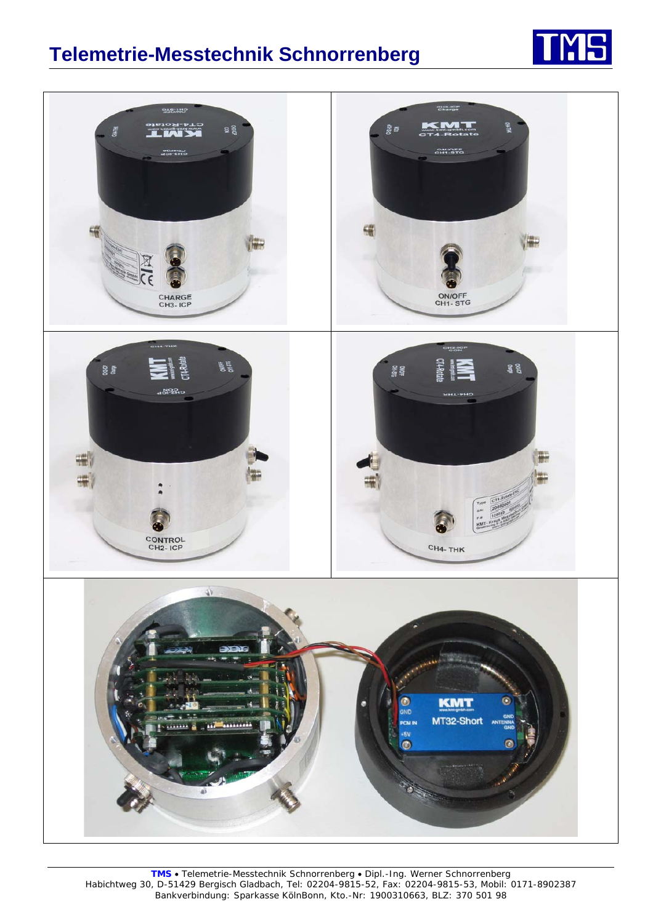

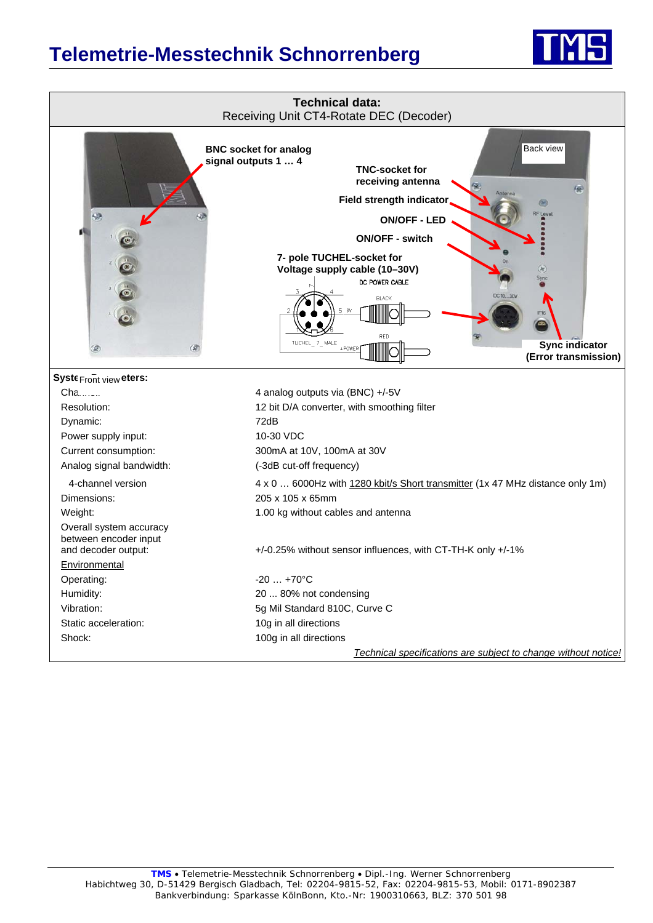

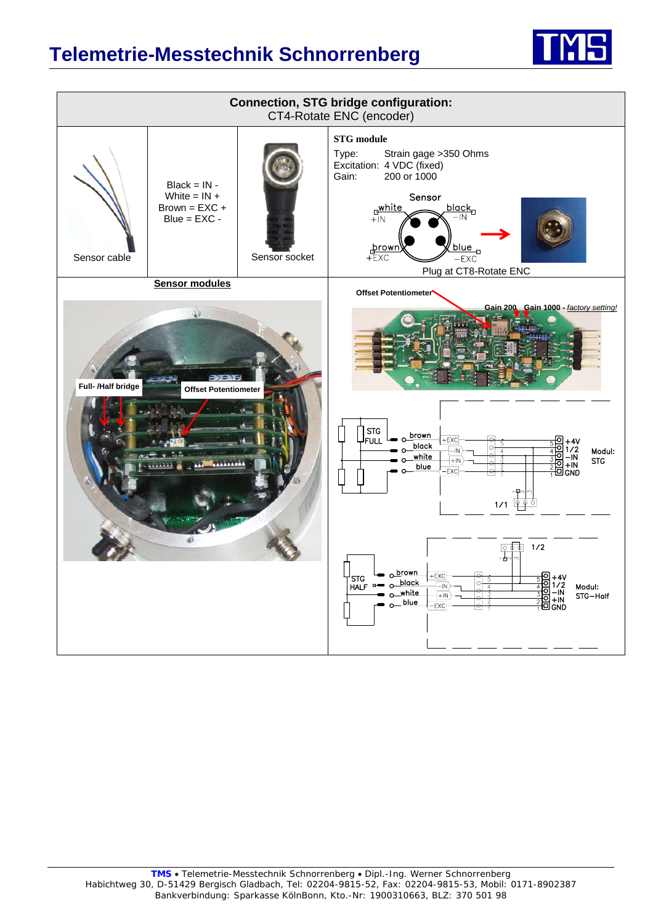

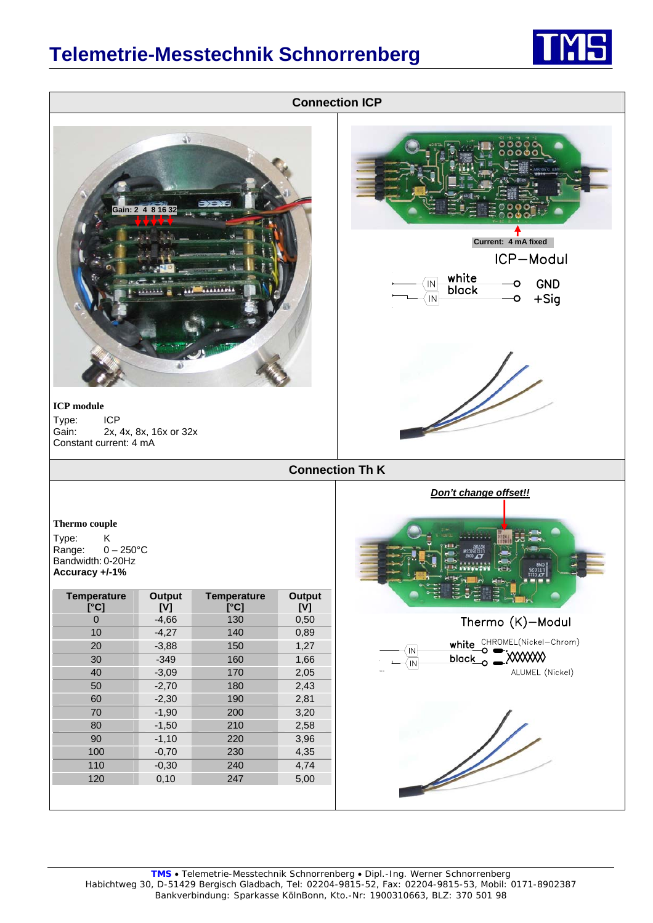

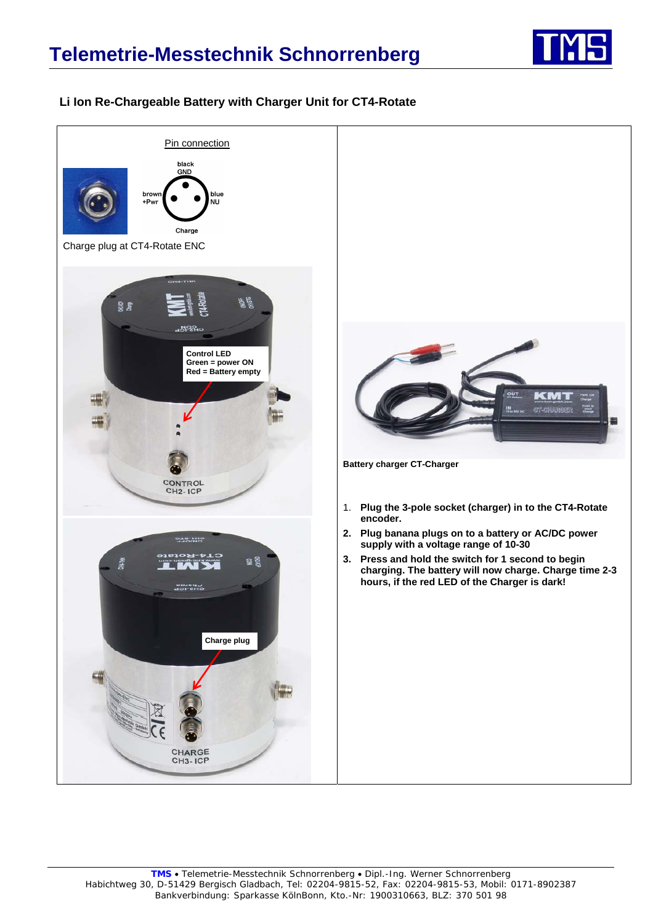

#### **Li Ion Re-Chargeable Battery with Charger Unit for CT4-Rotate**